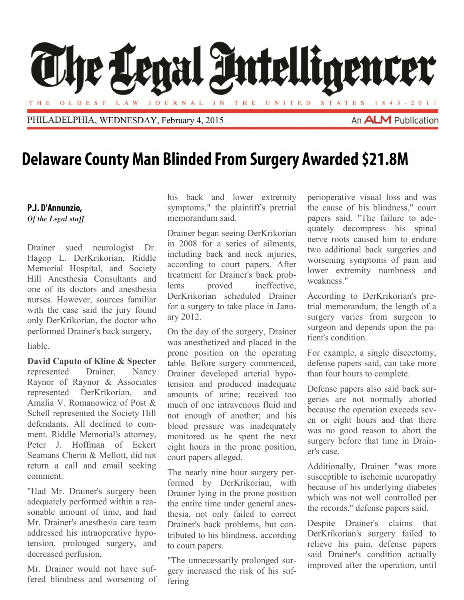

## **Delaware County Man Blinded From Surgery Awarded \$21.8M**

## P.J. D'Annunzio,

*Of the Legal staff*

Drainer sued neurologist Dr. Hagop L. DerKrikorian, Riddle Memorial Hospital, and Society Hill Anesthesia Consultants and one of its doctors and anesthesia nurses. However, sources familiar with the case said the jury found only DerKrikorian, the doctor who performed Drainer's back surgery, liable.

201313222220132013

**David Caputo of Kline & Specter** represented Drainer, Nancy Raynor of Raynor & Associates represented DerKrikorian, and Amalia V. Romanowicz of Post & Schell represented the Society Hill defendants. All declined to comment. Riddle Memorial's attorney, Peter J. Hoffman of Eckert Seamans Cherin & Mellott, did not return a call and email seeking comment.

"Had Mr. Drainer's surgery been adequately performed within a reasonable amount of time, and had Mr. Drainer's anesthesia care team addressed his intraoperative hypotension, prolonged surgery, and decreased perfusion,

Mr. Drainer would not have suffered blindness and worsening of

his back and lower extremity symptoms," the plaintiff's pretrial memorandum said.

Drainer began seeing DerKrikorian in 2008 for a series of ailments, including back and neck injuries, according to court papers. After treatment for Drainer's back problems proved ineffective, DerKrikorian scheduled Drainer for a surgery to take place in January 2012.

On the day of the surgery, Drainer was anesthetized and placed in the prone position on the operating table. Before surgery commenced, Drainer developed arterial hypotension and produced inadequate amounts of urine; received too much of one intravenous fluid and not enough of another; and his blood pressure was inadequately monitored as he spent the next eight hours in the prone position, court papers alleged.

The nearly nine hour surgery performed by DerKrikorian, with Drainer lying in the prone position the entire time under general anesthesia, not only failed to correct Drainer's back problems, but contributed to his blindness, according to court papers.

"The unnecessarily prolonged surgery increased the risk of his suffering

perioperative visual loss and was the cause of his blindness," court papers said. "The failure to adequately decompress his spinal nerve roots caused him to endure two additional back surgeries and worsening symptoms of pain and lower extremity numbness and weakness."

According to DerKrikorian's pretrial memorandum, the length of a surgery varies from surgeon to surgeon and depends upon the patient's condition.

For example, a single discectomy, defense papers said, can take more than four hours to complete.

Defense papers also said back surgeries are not normally aborted because the operation exceeds seven or eight hours and that there was no good reason to abort the surgery before that time in Drainer's case.

Additionally, Drainer "was more susceptible to ischemic neuropathy because of his underlying diabetes which was not well controlled per the records," defense papers said.

Despite Drainer's claims that DerKrikorian's surgery failed to relieve his pain, defense papers said Drainer's condition actually improved after the operation, until